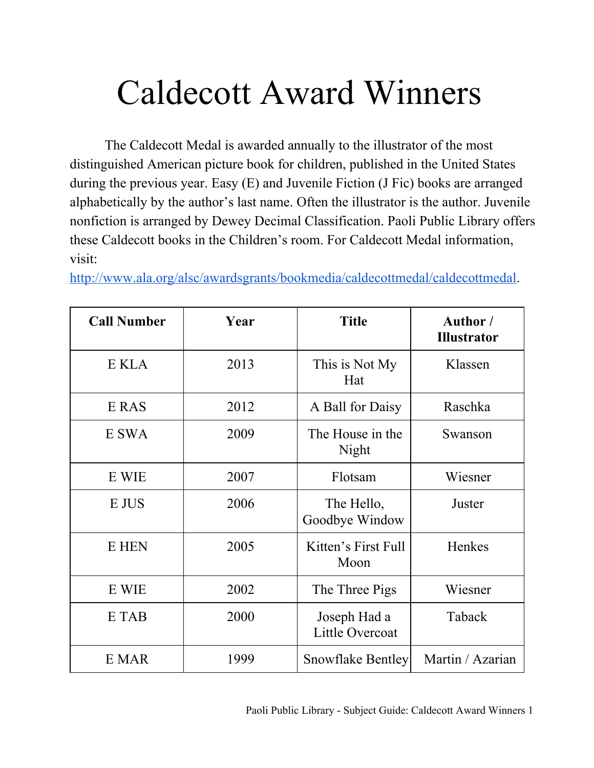## Caldecott Award Winners

The Caldecott Medal is awarded annually to the illustrator of the most distinguished American picture book for children, published in the United States during the previous year. Easy (E) and Juvenile Fiction (J Fic) books are arranged alphabetically by the author's last name. Often the illustrator is the author. Juvenile nonfiction is arranged by Dewey Decimal Classification. Paoli Public Library offers these Caldecott books in the Children's room. For Caldecott Medal information, visit:

[http://www.ala.org/alsc/awardsgrants/bookmedia/caldecottmedal/caldecottmedal.](http://www.google.com/url?q=http%3A%2F%2Fwww.ala.org%2Falsc%2Fawardsgrants%2Fbookmedia%2Fcaldecottmedal%2Fcaldecottmedal&sa=D&sntz=1&usg=AFQjCNFc3E1Njc0_Q9J3Qv9QPkzkN0y8CQ)

| <b>Call Number</b> | Year | <b>Title</b>                    | Author /<br><b>Illustrator</b> |
|--------------------|------|---------------------------------|--------------------------------|
| E KLA              | 2013 | This is Not My<br>Hat           | Klassen                        |
| E RAS              | 2012 | A Ball for Daisy                | Raschka                        |
| E SWA              | 2009 | The House in the<br>Night       | Swanson                        |
| E WIE              | 2007 | Flotsam                         | Wiesner                        |
| E JUS              | 2006 | The Hello,<br>Goodbye Window    | Juster                         |
| E HEN              | 2005 | Kitten's First Full<br>Moon     | Henkes                         |
| E WIE              | 2002 | The Three Pigs                  | Wiesner                        |
| E TAB              | 2000 | Joseph Had a<br>Little Overcoat | Taback                         |
| E MAR              | 1999 | <b>Snowflake Bentley</b>        | Martin / Azarian               |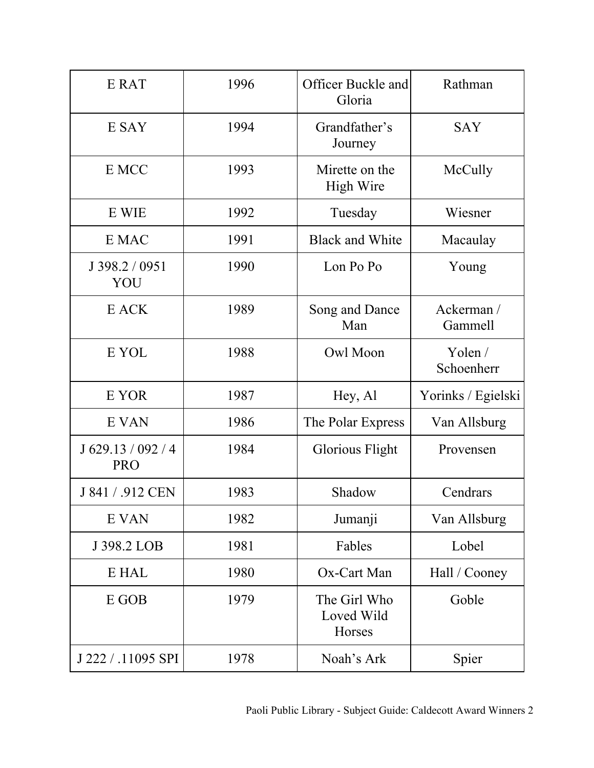| E RAT                            | 1996 | Officer Buckle and<br>Gloria         | Rathman               |
|----------------------------------|------|--------------------------------------|-----------------------|
| E SAY                            | 1994 | Grandfather's<br>Journey             | <b>SAY</b>            |
| E MCC                            | 1993 | Mirette on the<br><b>High Wire</b>   | McCully               |
| E WIE                            | 1992 | Tuesday                              | Wiesner               |
| E MAC                            | 1991 | <b>Black and White</b>               | Macaulay              |
| J 398.2 / 0951<br>YOU            | 1990 | Lon Po Po                            | Young                 |
| E ACK                            | 1989 | Song and Dance<br>Man                | Ackerman /<br>Gammell |
| E YOL                            | 1988 | Owl Moon                             | Yolen /<br>Schoenherr |
| E YOR                            | 1987 | Hey, Al                              | Yorinks / Egielski    |
| E VAN                            | 1986 | The Polar Express                    | Van Allsburg          |
| J 629.13 / 092 / 4<br><b>PRO</b> | 1984 | Glorious Flight                      | Provensen             |
| J 841 / .912 CEN                 | 1983 | Shadow                               | Cendrars              |
| E VAN                            | 1982 | Jumanji                              | Van Allsburg          |
| J 398.2 LOB                      | 1981 | Fables                               | Lobel                 |
| E HAL                            | 1980 | Ox-Cart Man                          | Hall / Cooney         |
| E GOB                            | 1979 | The Girl Who<br>Loved Wild<br>Horses | Goble                 |
| J 222 / .11095 SPI               | 1978 | Noah's Ark                           | Spier                 |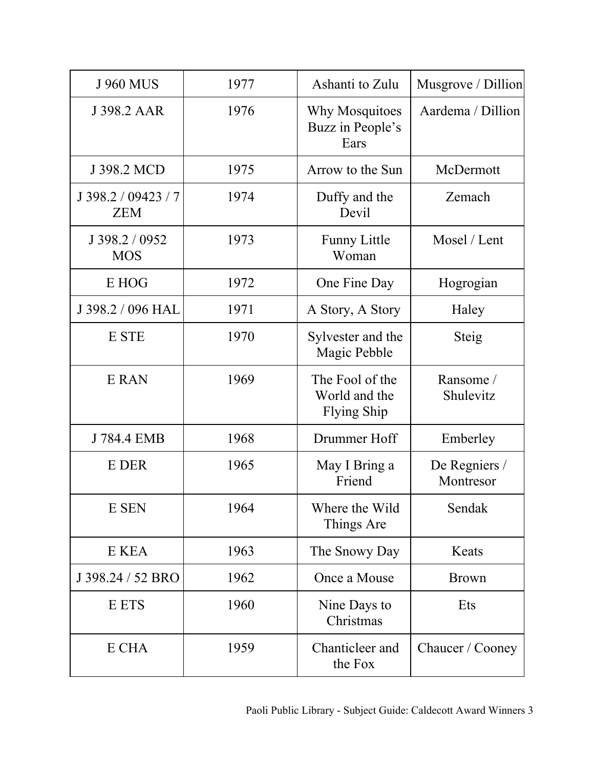| <b>J 960 MUS</b>                  | 1977 | Ashanti to Zulu                                        | Musgrove / Dillion         |
|-----------------------------------|------|--------------------------------------------------------|----------------------------|
| J 398.2 AAR                       | 1976 | Why Mosquitoes<br>Buzz in People's<br>Ears             | Aardema / Dillion          |
| J 398.2 MCD                       | 1975 | Arrow to the Sun                                       | McDermott                  |
| J 398.2 / 09423 / 7<br><b>ZEM</b> | 1974 | Duffy and the<br>Devil                                 | Zemach                     |
| J 398.2 / 0952<br><b>MOS</b>      | 1973 | <b>Funny Little</b><br>Woman                           | Mosel / Lent               |
| E HOG                             | 1972 | One Fine Day                                           | Hogrogian                  |
| J 398.2 / 096 HAL                 | 1971 | A Story, A Story                                       | Haley                      |
| E STE                             | 1970 | Sylvester and the<br>Magic Pebble                      | Steig                      |
| E RAN                             | 1969 | The Fool of the<br>World and the<br><b>Flying Ship</b> | Ransome/<br>Shulevitz      |
| J 784.4 EMB                       | 1968 | Drummer Hoff                                           | Emberley                   |
| E DER                             | 1965 | May I Bring a<br>Friend                                | De Regniers /<br>Montresor |
| E SEN                             | 1964 | Where the Wild<br>Things Are                           | Sendak                     |
| E KEA                             | 1963 | The Snowy Day                                          | Keats                      |
| J 398.24 / 52 BRO                 | 1962 | Once a Mouse                                           | <b>Brown</b>               |
| E ETS                             | 1960 | Nine Days to<br>Christmas                              | Ets                        |
| E CHA                             | 1959 | Chanticleer and<br>the Fox                             | Chaucer / Cooney           |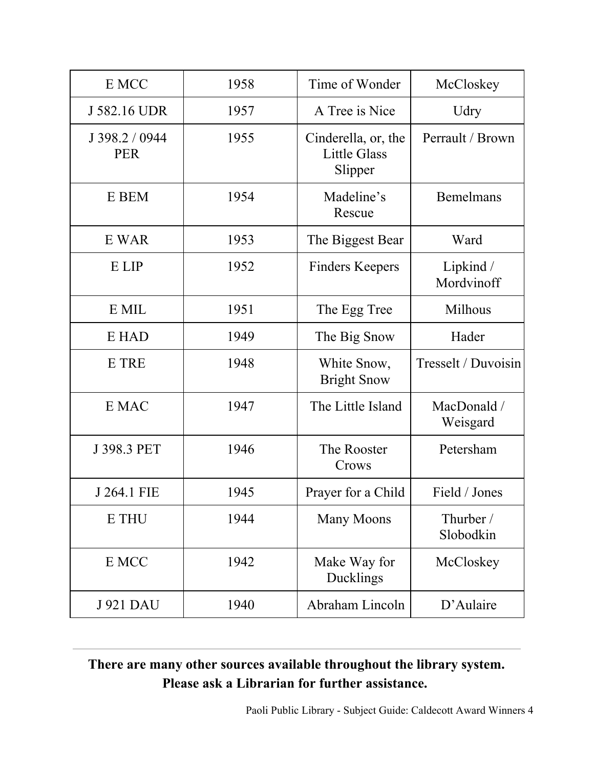| E MCC                        | 1958 | Time of Wonder                                        | McCloskey               |
|------------------------------|------|-------------------------------------------------------|-------------------------|
| J 582.16 UDR                 | 1957 | A Tree is Nice                                        | Udry                    |
| J 398.2 / 0944<br><b>PER</b> | 1955 | Cinderella, or, the<br><b>Little Glass</b><br>Slipper | Perrault / Brown        |
| E BEM                        | 1954 | Madeline's<br>Rescue                                  | Bemelmans               |
| E WAR                        | 1953 | The Biggest Bear                                      | Ward                    |
| E LIP                        | 1952 | <b>Finders Keepers</b>                                | Lipkind /<br>Mordvinoff |
| E MIL                        | 1951 | The Egg Tree                                          | Milhous                 |
| E HAD                        | 1949 | The Big Snow                                          | Hader                   |
| E TRE                        | 1948 | White Snow,<br><b>Bright Snow</b>                     | Tresselt / Duvoisin     |
| E MAC                        | 1947 | The Little Island                                     | MacDonald /<br>Weisgard |
| J 398.3 PET                  | 1946 | The Rooster<br>Crows                                  | Petersham               |
| J 264.1 FIE                  | 1945 | Prayer for a Child                                    | Field / Jones           |
| E THU                        | 1944 | <b>Many Moons</b>                                     | Thurber /<br>Slobodkin  |
| E MCC                        | 1942 | Make Way for<br>Ducklings                             | McCloskey               |
| <b>J921 DAU</b>              | 1940 | Abraham Lincoln                                       | D'Aulaire               |

## **There are many other sources available throughout the library system. Please ask a Librarian for further assistance.**